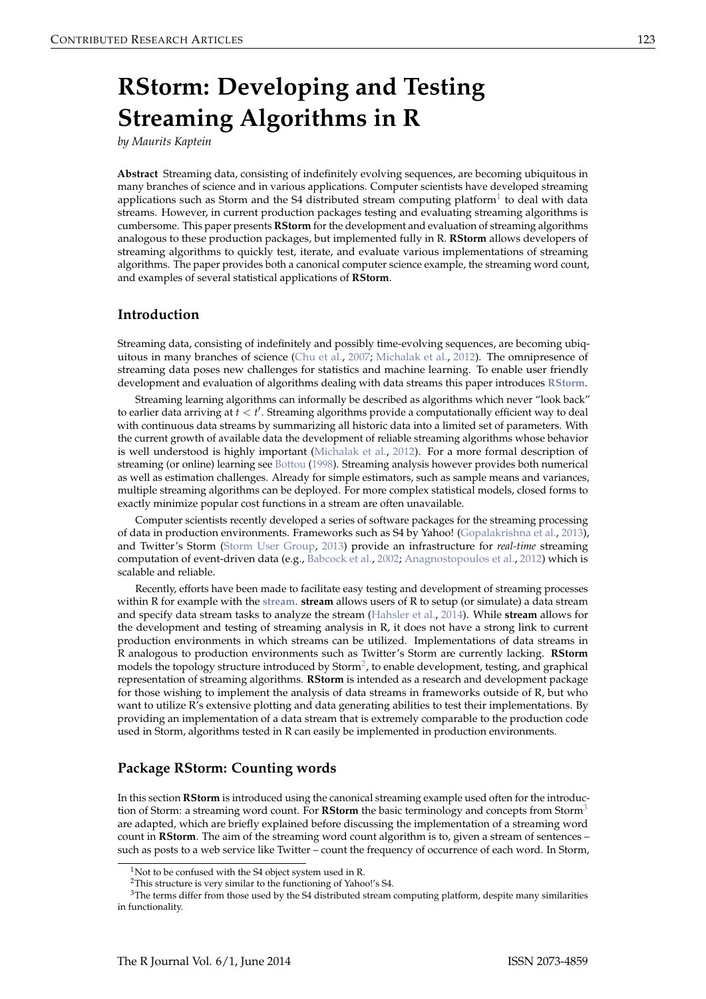# <span id="page-0-0"></span>**RStorm: Developing and Testing Streaming Algorithms in R**

*by Maurits Kaptein*

**Abstract** Streaming data, consisting of indefinitely evolving sequences, are becoming ubiquitous in many branches of science and in various applications. Computer scientists have developed streaming applications such as Storm and the S4 distributed stream computing platform $^1$  $^1$  to deal with data streams. However, in current production packages testing and evaluating streaming algorithms is cumbersome. This paper presents **RStorm** for the development and evaluation of streaming algorithms analogous to these production packages, but implemented fully in R. **RStorm** allows developers of streaming algorithms to quickly test, iterate, and evaluate various implementations of streaming algorithms. The paper provides both a canonical computer science example, the streaming word count, and examples of several statistical applications of **RStorm**.

## **Introduction**

Streaming data, consisting of indefinitely and possibly time-evolving sequences, are becoming ubiquitous in many branches of science [\(Chu et al.,](#page-8-0) [2007;](#page-8-0) [Michalak et al.,](#page-8-1) [2012\)](#page-8-1). The omnipresence of streaming data poses new challenges for statistics and machine learning. To enable user friendly development and evaluation of algorithms dealing with data streams this paper introduces **[RStorm](http://CRAN.R-project.org/package=RStorm)**.

Streaming learning algorithms can informally be described as algorithms which never "look back" to earlier data arriving at  $t < t'$ . Streaming algorithms provide a computationally efficient way to deal with continuous data streams by summarizing all historic data into a limited set of parameters. With the current growth of available data the development of reliable streaming algorithms whose behavior is well understood is highly important [\(Michalak et al.,](#page-8-1) [2012\)](#page-8-1). For a more formal description of streaming (or online) learning see [Bottou](#page-8-2) [\(1998\)](#page-8-2). Streaming analysis however provides both numerical as well as estimation challenges. Already for simple estimators, such as sample means and variances, multiple streaming algorithms can be deployed. For more complex statistical models, closed forms to exactly minimize popular cost functions in a stream are often unavailable.

Computer scientists recently developed a series of software packages for the streaming processing of data in production environments. Frameworks such as S4 by Yahoo! [\(Gopalakrishna et al.,](#page-8-3) [2013\)](#page-8-3), and Twitter's Storm [\(Storm User Group,](#page-8-4) [2013\)](#page-8-4) provide an infrastructure for *real-time* streaming computation of event-driven data (e.g., [Babcock et al.,](#page-8-5) [2002;](#page-8-5) [Anagnostopoulos et al.,](#page-8-6) [2012\)](#page-8-6) which is scalable and reliable.

Recently, efforts have been made to facilitate easy testing and development of streaming processes within R for example with the **[stream](http://CRAN.R-project.org/package=stream)**. **stream** allows users of R to setup (or simulate) a data stream and specify data stream tasks to analyze the stream [\(Hahsler et al.,](#page-8-7) [2014\)](#page-8-7). While **stream** allows for the development and testing of streaming analysis in R, it does not have a strong link to current production environments in which streams can be utilized. Implementations of data streams in R analogous to production environments such as Twitter's Storm are currently lacking. **RStorm** models the topology structure introduced by Storm<sup>[2](#page--1-0)</sup>, to enable development, testing, and graphical representation of streaming algorithms. **RStorm** is intended as a research and development package for those wishing to implement the analysis of data streams in frameworks outside of R, but who want to utilize R's extensive plotting and data generating abilities to test their implementations. By providing an implementation of a data stream that is extremely comparable to the production code used in Storm, algorithms tested in R can easily be implemented in production environments.

#### **Package RStorm: Counting words**

In this section **RStorm** is introduced using the canonical streaming example used often for the introduction of Storm: a streaming word count. For **RStorm** the basic terminology and concepts from Storm[3](#page--1-0) are adapted, which are briefly explained before discussing the implementation of a streaming word count in **RStorm**. The aim of the streaming word count algorithm is to, given a stream of sentences – such as posts to a web service like Twitter – count the frequency of occurrence of each word. In Storm,

 $1$ Not to be confused with the S4 object system used in R.

<sup>2</sup>This structure is very similar to the functioning of Yahoo!'s S4.

<sup>&</sup>lt;sup>3</sup>The terms differ from those used by the S4 distributed stream computing platform, despite many similarities in functionality.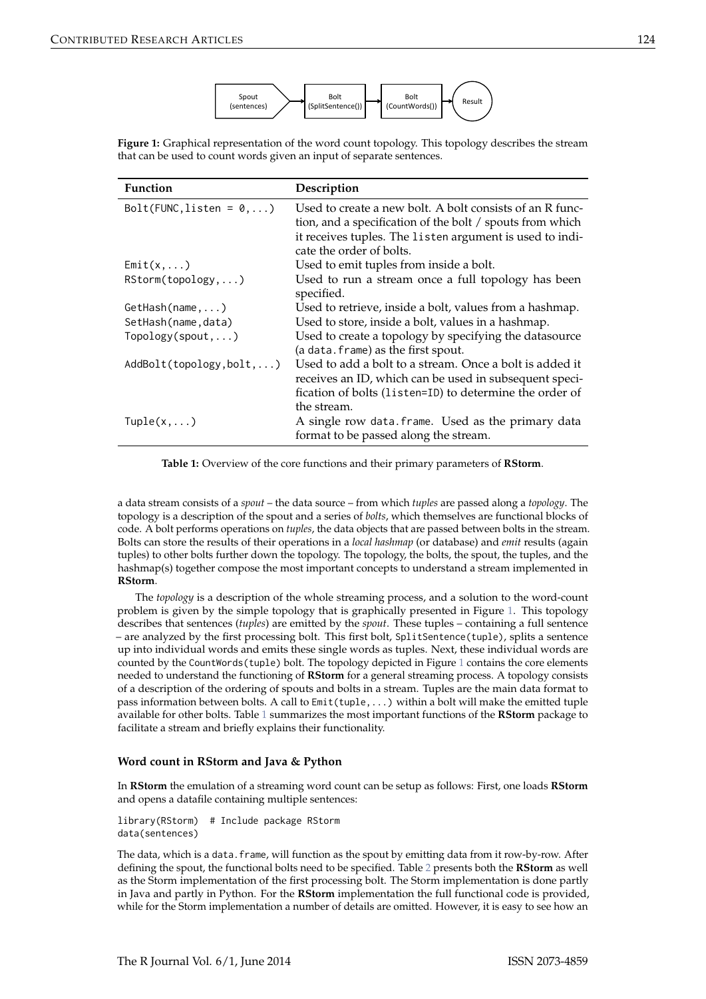

<span id="page-1-0"></span>**Figure 1:** Graphical representation of the word count topology. This topology describes the stream that can be used to count words given an input of separate sentences.

<span id="page-1-1"></span>

| <b>Function</b>                   | Description                                                                                                                                                                                                   |
|-----------------------------------|---------------------------------------------------------------------------------------------------------------------------------------------------------------------------------------------------------------|
| $Bolt(FUNC, listen = 0, )$        | Used to create a new bolt. A bolt consists of an R func-<br>tion, and a specification of the bolt / spouts from which<br>it receives tuples. The listen argument is used to indi-<br>cate the order of bolts. |
| $Emit(x, \ldots)$                 | Used to emit tuples from inside a bolt.                                                                                                                                                                       |
| RStorm(topology,)                 | Used to run a stream once a full topology has been<br>specified.                                                                                                                                              |
| $GetHash(name, \ldots)$           | Used to retrieve, inside a bolt, values from a hashmap.                                                                                                                                                       |
| SetHash(name,data)                | Used to store, inside a bolt, values in a hashmap.                                                                                                                                                            |
| $Topology(spout, \ldots)$         | Used to create a topology by specifying the datasource<br>(a data.frame) as the first spout.                                                                                                                  |
| $AddBolt(topology, bolt, \ldots)$ | Used to add a bolt to a stream. Once a bolt is added it<br>receives an ID, which can be used in subsequent speci-<br>fication of bolts (listen=ID) to determine the order of<br>the stream.                   |
| $Tuple(x, \ldots)$                | A single row data.frame. Used as the primary data<br>format to be passed along the stream.                                                                                                                    |

**Table 1:** Overview of the core functions and their primary parameters of **RStorm**.

a data stream consists of a *spout* – the data source – from which *tuples* are passed along a *topology*. The topology is a description of the spout and a series of *bolts*, which themselves are functional blocks of code. A bolt performs operations on *tuples*, the data objects that are passed between bolts in the stream. Bolts can store the results of their operations in a *local hashmap* (or database) and *emit* results (again tuples) to other bolts further down the topology. The topology, the bolts, the spout, the tuples, and the hashmap(s) together compose the most important concepts to understand a stream implemented in **RStorm**.

The *topology* is a description of the whole streaming process, and a solution to the word-count problem is given by the simple topology that is graphically presented in Figure [1.](#page-1-0) This topology describes that sentences (*tuples*) are emitted by the *spout*. These tuples – containing a full sentence – are analyzed by the first processing bolt. This first bolt, SplitSentence(tuple), splits a sentence up into individual words and emits these single words as tuples. Next, these individual words are counted by the CountWords(tuple) bolt. The topology depicted in Figure [1](#page-1-0) contains the core elements needed to understand the functioning of **RStorm** for a general streaming process. A topology consists of a description of the ordering of spouts and bolts in a stream. Tuples are the main data format to pass information between bolts. A call to Emit(tuple,...) within a bolt will make the emitted tuple available for other bolts. Table [1](#page-1-1) summarizes the most important functions of the **RStorm** package to facilitate a stream and briefly explains their functionality.

#### **Word count in RStorm and Java & Python**

In **RStorm** the emulation of a streaming word count can be setup as follows: First, one loads **RStorm** and opens a datafile containing multiple sentences:

library(RStorm) # Include package RStorm data(sentences)

The data, which is a data.frame, will function as the spout by emitting data from it row-by-row. After defining the spout, the functional bolts need to be specified. Table [2](#page-2-0) presents both the **RStorm** as well as the Storm implementation of the first processing bolt. The Storm implementation is done partly in Java and partly in Python. For the **RStorm** implementation the full functional code is provided, while for the Storm implementation a number of details are omitted. However, it is easy to see how an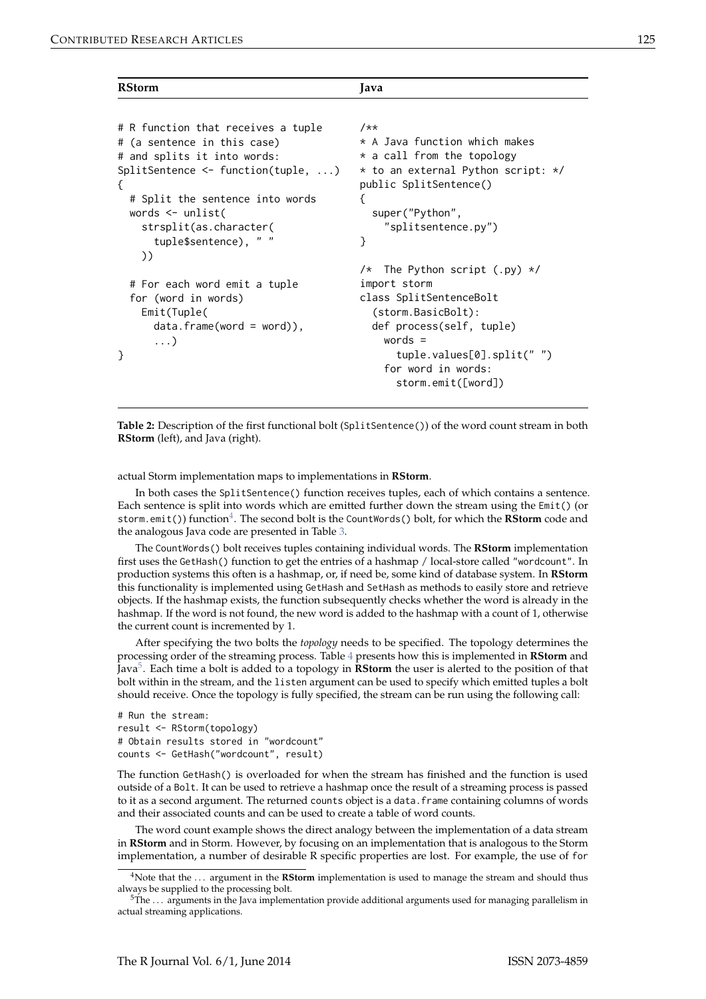| - - | ٠ | I<br>×<br>۰. |
|-----|---|--------------|

<span id="page-2-0"></span>

| <b>RStorm</b>                                | Java                                 |  |
|----------------------------------------------|--------------------------------------|--|
|                                              |                                      |  |
| # R function that receives a tuple           | $7**$                                |  |
| # (a sentence in this case)                  | * A Java function which makes        |  |
| # and splits it into words:                  | $*$ a call from the topology         |  |
| $SplitSentence \leftarrow function(tuple, )$ | * to an external Python script: */   |  |
| ₹                                            | public SplitSentence()               |  |
| # Split the sentence into words              | ₹                                    |  |
| words $\leq$ unlist(                         | super("Python",                      |  |
| strsplit(as.character(                       | "splitsentence.py")                  |  |
| tuple\$sentence), " "                        | }                                    |  |
| ))                                           |                                      |  |
|                                              | /* The Python script $(\cdot$ py) */ |  |
| # For each word emit a tuple                 | import storm                         |  |
| for (word in words)                          | class SplitSentenceBolt              |  |
| Emit(Tuple(                                  | (storm.BasicBolt):                   |  |
| $data.f$ rame(word = word)),                 | def process(self, tuple)             |  |
| $\ldots$                                     | words $=$                            |  |
|                                              | tuple.values[0].split("")            |  |
|                                              | for word in words:                   |  |
|                                              | storm.emit([word])                   |  |

**Table 2:** Description of the first functional bolt (SplitSentence()) of the word count stream in both **RStorm** (left), and Java (right).

actual Storm implementation maps to implementations in **RStorm**.

In both cases the SplitSentence() function receives tuples, each of which contains a sentence. Each sentence is split into words which are emitted further down the stream using the Emit() (or storm.emit()) function<sup>[4](#page--1-0)</sup>. The second bolt is the CountWords() bolt, for which the **RStorm** code and the analogous Java code are presented in Table [3.](#page-3-0)

The CountWords() bolt receives tuples containing individual words. The **RStorm** implementation first uses the GetHash() function to get the entries of a hashmap / local-store called "wordcount". In production systems this often is a hashmap, or, if need be, some kind of database system. In **RStorm** this functionality is implemented using GetHash and SetHash as methods to easily store and retrieve objects. If the hashmap exists, the function subsequently checks whether the word is already in the hashmap. If the word is not found, the new word is added to the hashmap with a count of 1, otherwise the current count is incremented by 1.

After specifying the two bolts the *topology* needs to be specified. The topology determines the processing order of the streaming process. Table [4](#page-3-1) presents how this is implemented in **RStorm** and Java[5](#page--1-0) . Each time a bolt is added to a topology in **RStorm** the user is alerted to the position of that bolt within in the stream, and the listen argument can be used to specify which emitted tuples a bolt should receive. Once the topology is fully specified, the stream can be run using the following call:

```
# Run the stream:
result <- RStorm(topology)
# Obtain results stored in "wordcount"
counts <- GetHash("wordcount", result)
```
The function GetHash() is overloaded for when the stream has finished and the function is used outside of a Bolt. It can be used to retrieve a hashmap once the result of a streaming process is passed to it as a second argument. The returned counts object is a data. frame containing columns of words and their associated counts and can be used to create a table of word counts.

The word count example shows the direct analogy between the implementation of a data stream in **RStorm** and in Storm. However, by focusing on an implementation that is analogous to the Storm implementation, a number of desirable R specific properties are lost. For example, the use of for

<sup>4</sup>Note that the . . . argument in the **RStorm** implementation is used to manage the stream and should thus always be supplied to the processing bolt.

 $5$ The  $\ldots$  arguments in the Java implementation provide additional arguments used for managing parallelism in actual streaming applications.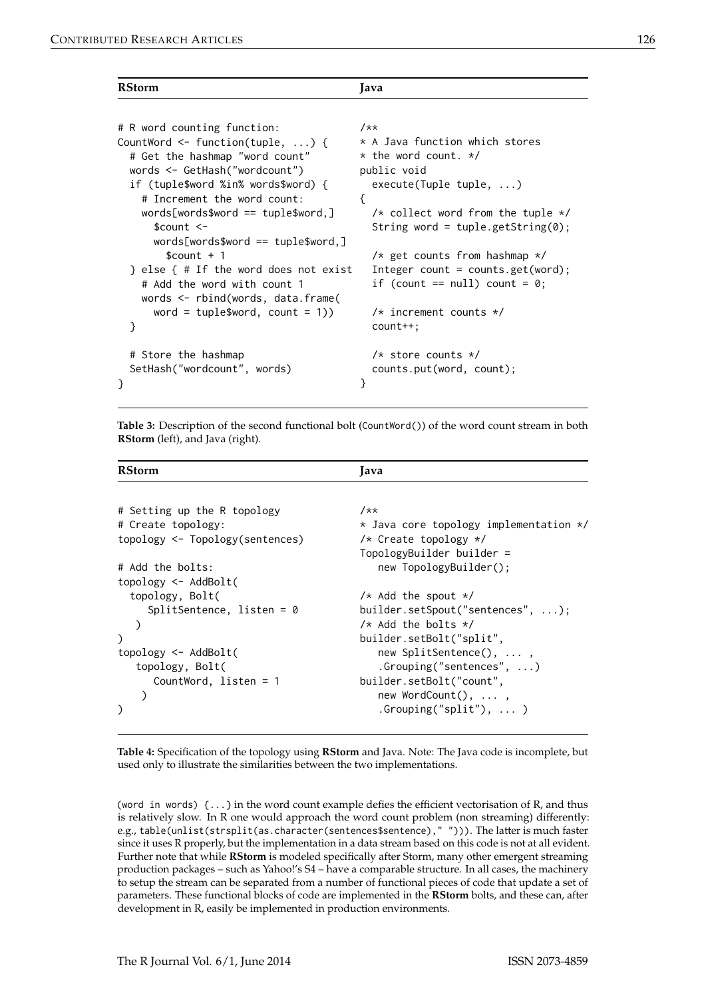| ٠  |    | ٧       |
|----|----|---------|
| -- | __ | ×<br>۰, |

<span id="page-3-0"></span>

| <b>RStorm</b>                                                                                                                                                                                                                                                                                                                                                                                                                                                                   | Java                                                                                                                                                                                                                                                                                                                                        |
|---------------------------------------------------------------------------------------------------------------------------------------------------------------------------------------------------------------------------------------------------------------------------------------------------------------------------------------------------------------------------------------------------------------------------------------------------------------------------------|---------------------------------------------------------------------------------------------------------------------------------------------------------------------------------------------------------------------------------------------------------------------------------------------------------------------------------------------|
| # R word counting function:<br>CountWord $\leq$ function(tuple, ) {<br># Get the hashmap "word count"<br>words <- GetHash("wordcount")<br>if (tuple\$word %in% words\$word) {<br># Increment the word count:<br>$words[words$word = tuple$word, ]$<br>$s$ count $\leq$ -<br>$words[words$word = tuple$word, ]$<br>$%$ count + 1<br>} else { # If the word does not exist<br># Add the word with count 1<br>words <- rbind(words, data.frame(<br>word = tuple\$word, count = 1)) | $7**$<br>* A Java function which stores<br>$*$ the word count. $*/$<br>public void<br>execute(Tuple tuple, )<br>₹<br>$/*$ collect word from the tuple $*/$<br>String word = tuple.getString(0);<br>$/*$ get counts from hashmap $*/$<br>Integer count = counts.get(word);<br>if (count == $null$ ) count = 0;<br>$/*$ increment counts $*/$ |
| }                                                                                                                                                                                                                                                                                                                                                                                                                                                                               | $count++$ :                                                                                                                                                                                                                                                                                                                                 |
| # Store the hashmap<br>SetHash("wordcount", words)<br>ł                                                                                                                                                                                                                                                                                                                                                                                                                         | $/*$ store counts $*/$<br>counts.put(word, count);<br>ł                                                                                                                                                                                                                                                                                     |

**Table 3:** Description of the second functional bolt (CountWord()) of the word count stream in both **RStorm** (left), and Java (right).

<span id="page-3-1"></span>

| <b>RStorm</b>                       | Java                                   |
|-------------------------------------|----------------------------------------|
|                                     |                                        |
| # Setting up the R topology         | $7**$                                  |
| # Create topology:                  | * Java core topology implementation */ |
| $topology \leq Topology(sentences)$ | $/*$ Create topology $*/$              |
|                                     | TopologyBuilder builder =              |
| # Add the bolts:                    | new TopologyBuilder();                 |
| $topology \leq AddBolt($            |                                        |
| topology, Bolt(                     | $/*$ Add the spout $*/$                |
| SplitSentence, listen = $\theta$    | builder.setSpout("sentences", );       |
|                                     | $/*$ Add the bolts $*/$                |
| $\mathcal{C}$                       | builder.setBolt("split",               |
| topology <- AddBolt(                | new SplitSentence(), ,                 |
| topology, Bolt(                     | . $Grouping("sentences", )$            |
| CountWord, listen = $1$             | builder.setBolt("count",               |
|                                     | new WordCount(),                       |
|                                     | .Grouping(" $split$ "), )              |

**Table 4:** Specification of the topology using **RStorm** and Java. Note: The Java code is incomplete, but used only to illustrate the similarities between the two implementations.

(word in words)  $\{ \ldots \}$  in the word count example defies the efficient vectorisation of R, and thus is relatively slow. In R one would approach the word count problem (non streaming) differently: e.g., table(unlist(strsplit(as.character(sentences\$sentence)," "))). The latter is much faster since it uses R properly, but the implementation in a data stream based on this code is not at all evident. Further note that while **RStorm** is modeled specifically after Storm, many other emergent streaming production packages – such as Yahoo!'s S4 – have a comparable structure. In all cases, the machinery to setup the stream can be separated from a number of functional pieces of code that update a set of parameters. These functional blocks of code are implemented in the **RStorm** bolts, and these can, after development in R, easily be implemented in production environments.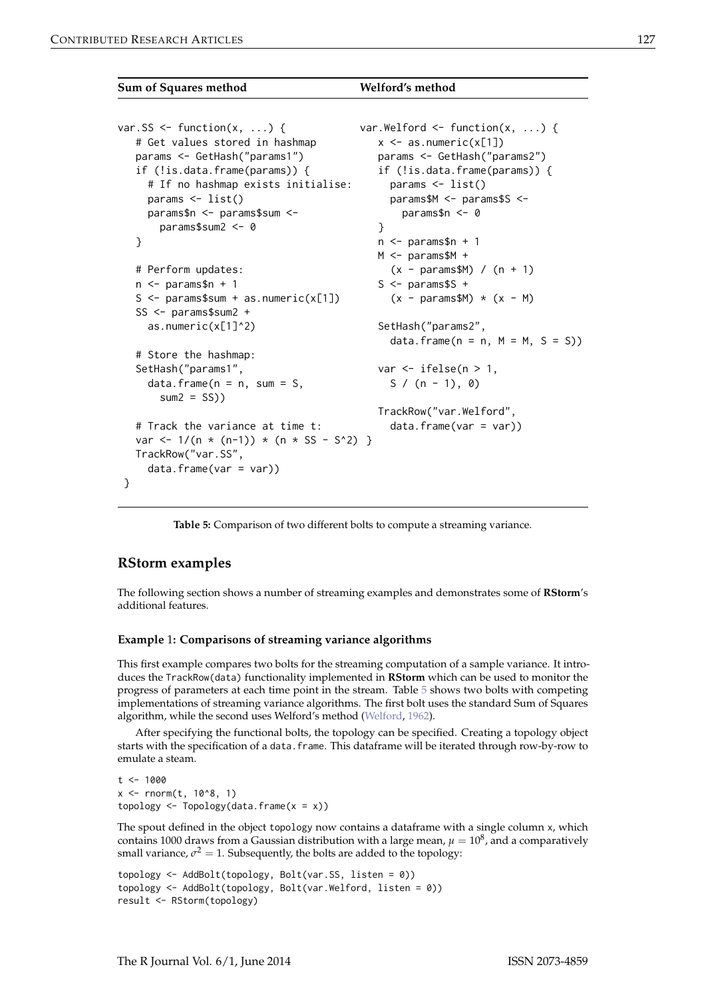#### <span id="page-4-1"></span><span id="page-4-0"></span>**Sum of Squares method Welford's method**

```
var.SS \leq function(x, ...) {
   # Get values stored in hashmap
   params <- GetHash("params1")
   if (!is.data.frame(params)) {
     # If no hashmap exists initialise:
     params <- list()
     params$n <- params$sum <-
       params$sum2 <- 0
   }
   # Perform updates:
   n \leq - params$n + 1
   S \leftarrow params$sum + as.numeric(x[1])
   SS <- params$sum2 +
     as.numeric(x[1]^2)
   # Store the hashmap:
   SetHash("params1",
     data.frame(n = n, sum = S,
       sum2 = SS)
   # Track the variance at time t:
   var \leftarrow 1/(n * (n-1)) * (n * SS - S^2)TrackRow("var.SS",
     data.frame(var = var))
 }
                                           var.Welford \leq function(x, ...) {
                                              x \leftarrow as.numeric(x[1])
                                              params <- GetHash("params2")
                                              if (!is.data.frame(params)) {
                                                params <- list()
                                                params$M <- params$S <-
                                                   params$n <- 0
                                              }
                                              n \leq params$n + 1
                                              M < - params$M +
                                                 (x - \text{params$M}) / (n + 1)S \leq - params$S +(x - \text{params$M$}) * (x - M)SetHash("params2",
                                                data.frame(n = n, M = M, S = S))
                                              var \le ifelse(n > 1,
                                                S / (n - 1), 0TrackRow("var.Welford",
                                                 data.frame(var = var))
```
**Table 5:** Comparison of two different bolts to compute a streaming variance.

### **RStorm examples**

The following section shows a number of streaming examples and demonstrates some of **RStorm**'s additional features.

#### **Example** 1**: Comparisons of streaming variance algorithms**

This first example compares two bolts for the streaming computation of a sample variance. It introduces the TrackRow(data) functionality implemented in **RStorm** which can be used to monitor the progress of parameters at each time point in the stream. Table [5](#page-4-0) shows two bolts with competing implementations of streaming variance algorithms. The first bolt uses the standard Sum of Squares algorithm, while the second uses Welford's method [\(Welford,](#page-9-0) [1962\)](#page-9-0).

After specifying the functional bolts, the topology can be specified. Creating a topology object starts with the specification of a data. frame. This dataframe will be iterated through row-by-row to emulate a steam.

```
t < -1000x \le rnorm(t, 10^8, 1)
topology \leq Topology(data.frame(x = x))
```
The spout defined in the object topology now contains a dataframe with a single column x, which contains 1000 draws from a Gaussian distribution with a large mean,  $\mu = 10^8$ , and a comparatively small variance,  $\sigma^2=1$ . Subsequently, the bolts are added to the topology:

```
topology <- AddBolt(topology, Bolt(var.SS, listen = 0))
topology <- AddBolt(topology, Bolt(var.Welford, listen = 0))
result <- RStorm(topology)
```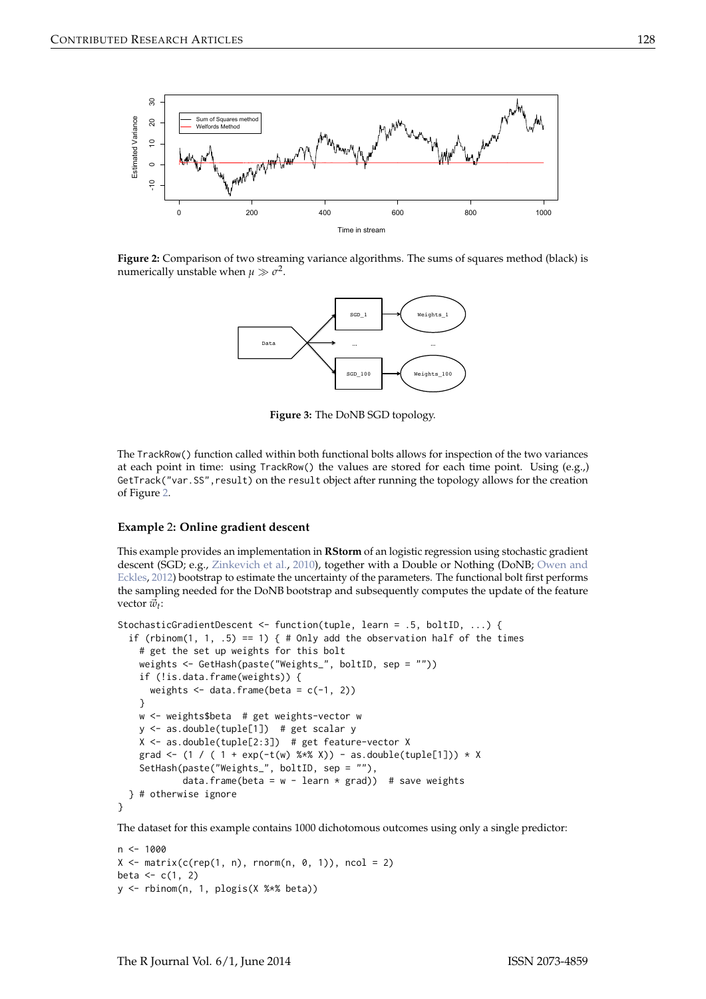<span id="page-5-2"></span><span id="page-5-0"></span>

<span id="page-5-1"></span>**Figure 2:** Comparison of two streaming variance algorithms. The sums of squares method (black) is numerically unstable when  $\mu \gg \sigma^2$ .



**Figure 3:** The DoNB SGD topology.

The TrackRow() function called within both functional bolts allows for inspection of the two variances at each point in time: using TrackRow() the values are stored for each time point. Using (e.g.,) GetTrack("var.SS", result) on the result object after running the topology allows for the creation of Figure [2.](#page-5-0)

#### **Example** 2**: Online gradient descent**

This example provides an implementation in **RStorm** of an logistic regression using stochastic gradient descent (SGD; e.g., [Zinkevich et al.,](#page-9-1) [2010\)](#page-9-1), together with a Double or Nothing (DoNB; [Owen and](#page-8-8) [Eckles,](#page-8-8) [2012\)](#page-8-8) bootstrap to estimate the uncertainty of the parameters. The functional bolt first performs the sampling needed for the DoNB bootstrap and subsequently computes the update of the feature vector  $\vec{w}_t$ :

```
StochasticGradientDescent <- function(tuple, learn = .5, boltID, ...) {
 if (rbinom(1, 1, .5) == 1) { # Only add the observation half of the times
    # get the set up weights for this bolt
    weights <- GetHash(paste("Weights_", boltID, sep = ""))
    if (!is.data.frame(weights)) {
     weights \leq data.frame(beta = c(-1, 2))
    }
   w <- weights$beta # get weights-vector w
    y \le - as.double(tuple[1]) # get scalar y
    X <- as.double(tuple[2:3]) # get feature-vector X
    grad <- (1 / (1 + \exp(-t(w) % x * x)) - as.double(tuple[1])) * XSetHash(paste("Weights_", boltID, sep = ""),
            data.frame(beta = w - learn * grad)) # save weights
 } # otherwise ignore
}
```
The dataset for this example contains 1000 dichotomous outcomes using only a single predictor:

```
n < - 1000X \leq -\text{matrix}(c(\text{rep}(1, n), \text{norm}(n, 0, 1)), \text{ncol} = 2)beta <-c(1, 2)y <- rbinom(n, 1, plogis(X %*% beta))
```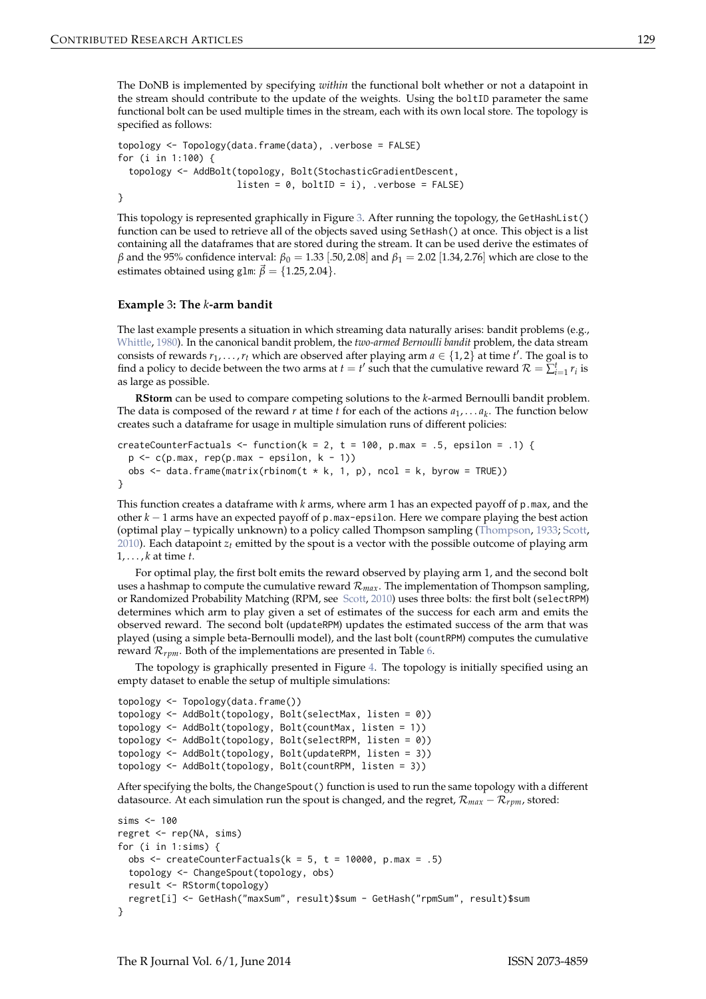<span id="page-6-0"></span>The DoNB is implemented by specifying *within* the functional bolt whether or not a datapoint in the stream should contribute to the update of the weights. Using the boltID parameter the same functional bolt can be used multiple times in the stream, each with its own local store. The topology is specified as follows:

```
topology <- Topology(data.frame(data), .verbose = FALSE)
for (i in 1:100) {
  topology <- AddBolt(topology, Bolt(StochasticGradientDescent,
                      listen = 0, boltID = i), .verbose = FALSE)
}
```

```
This topology is represented graphically in Figure 3. After running the topology, the GetHashList()
function can be used to retrieve all of the objects saved using SetHash() at once. This object is a list
containing all the dataframes that are stored during the stream. It can be used derive the estimates of
β and the 95% confidence interval: β0 = 1.33 [.50, 2.08] and β1 = 2.02 [1.34, 2.76] which are close to the
estimates obtained using glm: \vec{\beta} = \{1.25, 2.04\}.
```
#### **Example** 3**: The** *k***-arm bandit**

The last example presents a situation in which streaming data naturally arises: bandit problems (e.g., [Whittle,](#page-9-2) [1980\)](#page-9-2). In the canonical bandit problem, the *two-armed Bernoulli bandit* problem, the data stream consists of rewards  $r_1, \ldots, r_t$  which are observed after playing arm  $a \in \{1, 2\}$  at time  $t'$ . The goal is to find a policy to decide between the two arms at  $t = t'$  such that the cumulative reward  $\mathcal{R} = \sum_{i=1}^{t} r_i$  is as large as possible.

**RStorm** can be used to compare competing solutions to the *k*-armed Bernoulli bandit problem. The data is composed of the reward  $r$  at time  $t$  for each of the actions  $a_1, \ldots a_k$ . The function below creates such a dataframe for usage in multiple simulation runs of different policies:

```
createCounterFactuals <- function(k = 2, t = 100, p.max = .5, epsilon = .1) {
 p \leftarrow c(p.max, rep(p.max - epsilon, k - 1))obs \le data.frame(matrix(rbinom(t * k, 1, p), ncol = k, byrow = TRUE))
}
```
This function creates a dataframe with *k* arms, where arm 1 has an expected payoff of p.max, and the other *k* − 1 arms have an expected payoff of p.max-epsilon. Here we compare playing the best action (optimal play – typically unknown) to a policy called Thompson sampling [\(Thompson,](#page-8-9) [1933;](#page-8-9) [Scott,](#page-8-10) [2010\)](#page-8-10). Each datapoint *zt* emitted by the spout is a vector with the possible outcome of playing arm 1, . . . , *k* at time *t*.

For optimal play, the first bolt emits the reward observed by playing arm 1, and the second bolt uses a hashmap to compute the cumulative reward  $\mathcal{R}_{max}$ . The implementation of Thompson sampling, or Randomized Probability Matching (RPM, see [Scott,](#page-8-10) [2010\)](#page-8-10) uses three bolts: the first bolt (selectRPM) determines which arm to play given a set of estimates of the success for each arm and emits the observed reward. The second bolt (updateRPM) updates the estimated success of the arm that was played (using a simple beta-Bernoulli model), and the last bolt (countRPM) computes the cumulative reward  $\mathcal{R}_{\text{rpm}}$ . Both of the implementations are presented in Table [6.](#page-7-0)

The topology is graphically presented in Figure [4.](#page-8-11) The topology is initially specified using an empty dataset to enable the setup of multiple simulations:

```
topology <- Topology(data.frame())
topology <- AddBolt(topology, Bolt(selectMax, listen = 0))
topology <- AddBolt(topology, Bolt(countMax, listen = 1))
topology <- AddBolt(topology, Bolt(selectRPM, listen = 0))
topology <- AddBolt(topology, Bolt(updateRPM, listen = 3))
topology <- AddBolt(topology, Bolt(countRPM, listen = 3))
```
After specifying the bolts, the ChangeSpout() function is used to run the same topology with a different datasource. At each simulation run the spout is changed, and the regret,  $\mathcal{R}_{max} - \mathcal{R}_{rpm}$ , stored:

```
sims <-100regret <- rep(NA, sims)
for (i in 1:sims) {
 obs <- createCounterFactuals(k = 5, t = 10000, p.max = .5)
 topology <- ChangeSpout(topology, obs)
 result <- RStorm(topology)
 regret[i] <- GetHash("maxSum", result)$sum - GetHash("rpmSum", result)$sum
}
```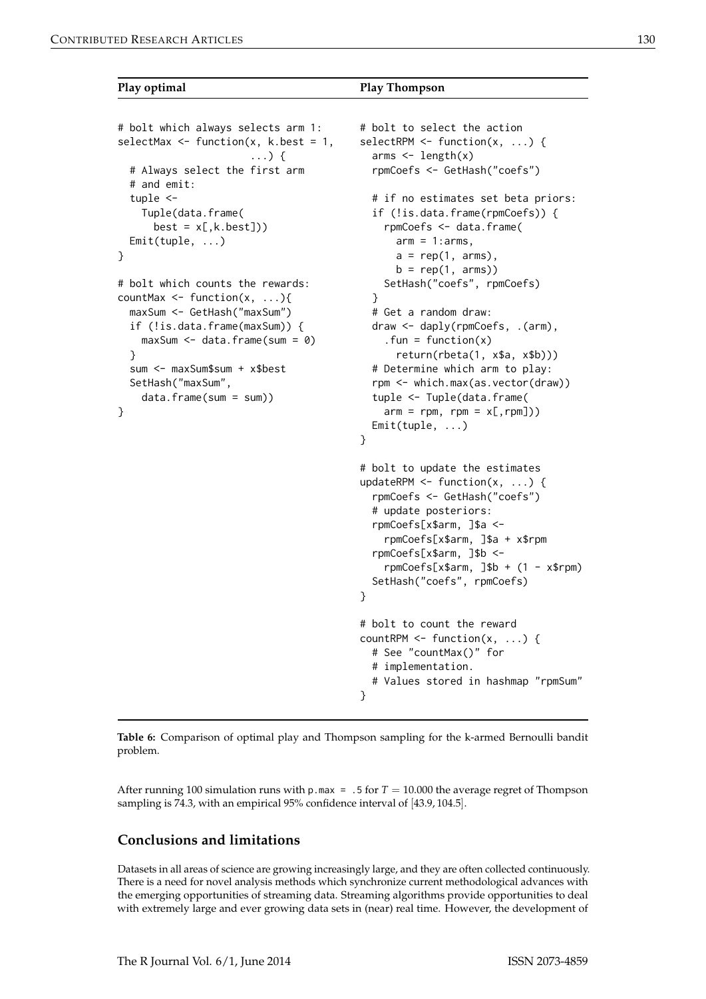```
Play optimal Play Thompson
```

```
# bolt which always selects arm 1:
selectMax \leq function(x, k.best = 1,
                       ...) {
 # Always select the first arm
 # and emit:
 tuple <-
    Tuple(data.frame(
     best = x[, k.best])Emit(tuple, ...)
}
# bolt which counts the rewards:
countMax \leq function(x, ...){
 maxSum <- GetHash("maxSum")
 if (!is.data.frame(maxSum)) {
   maxSum <- data.frame(sum = 0)
 }
 sum <- maxSum$sum + x$best
 SetHash("maxSum",
    data.frame(sum = sum))
}
                                         # bolt to select the action
                                         selectRPM \leq function(x, ...) {
                                           arms \leq length(x)rpmCoefs <- GetHash("coefs")
                                           # if no estimates set beta priors:
                                           if (!is.data.frame(rpmCoefs)) {
                                             rpmCoefs <- data.frame(
                                               arm = 1:arms,a = rep(1, arr),
                                               b = rep(1, arms)SetHash("coefs", rpmCoefs)
                                           }
                                           # Get a random draw:
                                           draw <- daply(rpmCoefs, .(arm),
                                             . fun = function(x)return(rbeta(1, x$a, x$b)))
                                           # Determine which arm to play:
                                           rpm <- which.max(as.vector(draw))
                                           tuple <- Tuple(data.frame(
                                             arm = rpm, rpm = x[, rpm])
                                           Emit(tuple, ...)
                                         }
                                         # bolt to update the estimates
                                         updateRPM \leq function(x, ...) {
                                           rpmCoefs <- GetHash("coefs")
                                           # update posteriors:
                                           rpmCoefs[x$arm, ]$a <-
                                             rpmCoefs[x$arm, ]$a + x$rpm
                                           rpmCoefs[x$arm, ]$b <-
                                             rpmCoefs[x$arm, ]\$b + (1 - x$rpm)SetHash("coefs", rpmCoefs)
                                         }
                                         # bolt to count the reward
                                         countRPM \leq function(x, ...) {
                                           # See "countMax()" for
                                           # implementation.
```
# Values stored in hashmap "rpmSum" }

**Table 6:** Comparison of optimal play and Thompson sampling for the k-armed Bernoulli bandit problem.

After running 100 simulation runs with p.max = .5 for  $T = 10.000$  the average regret of Thompson sampling is 74.3, with an empirical 95% confidence interval of [43.9, 104.5].

# **Conclusions and limitations**

Datasets in all areas of science are growing increasingly large, and they are often collected continuously. There is a need for novel analysis methods which synchronize current methodological advances with the emerging opportunities of streaming data. Streaming algorithms provide opportunities to deal with extremely large and ever growing data sets in (near) real time. However, the development of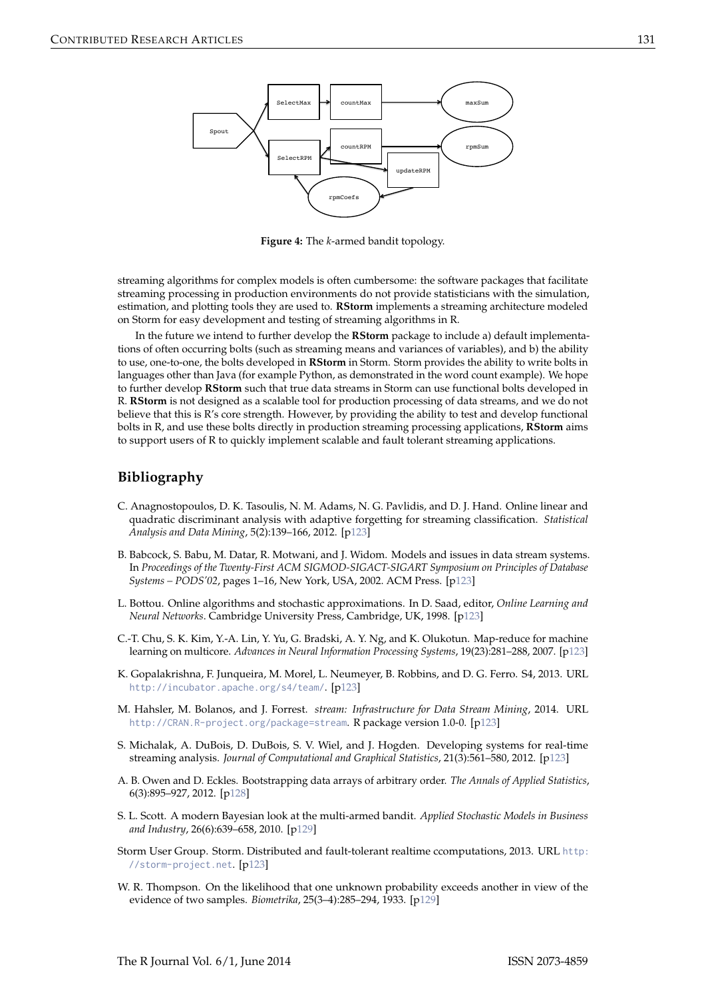<span id="page-8-11"></span>

**Figure 4:** The *k*-armed bandit topology.

streaming algorithms for complex models is often cumbersome: the software packages that facilitate streaming processing in production environments do not provide statisticians with the simulation, estimation, and plotting tools they are used to. **RStorm** implements a streaming architecture modeled on Storm for easy development and testing of streaming algorithms in R.

In the future we intend to further develop the **RStorm** package to include a) default implementations of often occurring bolts (such as streaming means and variances of variables), and b) the ability to use, one-to-one, the bolts developed in **RStorm** in Storm. Storm provides the ability to write bolts in languages other than Java (for example Python, as demonstrated in the word count example). We hope to further develop **RStorm** such that true data streams in Storm can use functional bolts developed in R. **RStorm** is not designed as a scalable tool for production processing of data streams, and we do not believe that this is R's core strength. However, by providing the ability to test and develop functional bolts in R, and use these bolts directly in production streaming processing applications, **RStorm** aims to support users of R to quickly implement scalable and fault tolerant streaming applications.

# **Bibliography**

- <span id="page-8-6"></span>C. Anagnostopoulos, D. K. Tasoulis, N. M. Adams, N. G. Pavlidis, and D. J. Hand. Online linear and quadratic discriminant analysis with adaptive forgetting for streaming classification. *Statistical Analysis and Data Mining*, 5(2):139–166, 2012. [[p123\]](#page-0-0)
- <span id="page-8-5"></span>B. Babcock, S. Babu, M. Datar, R. Motwani, and J. Widom. Models and issues in data stream systems. In *Proceedings of the Twenty-First ACM SIGMOD-SIGACT-SIGART Symposium on Principles of Database Systems – PODS'02*, pages 1–16, New York, USA, 2002. ACM Press. [[p123\]](#page-0-0)
- <span id="page-8-2"></span>L. Bottou. Online algorithms and stochastic approximations. In D. Saad, editor, *Online Learning and Neural Networks*. Cambridge University Press, Cambridge, UK, 1998. [[p123\]](#page-0-0)
- <span id="page-8-0"></span>C.-T. Chu, S. K. Kim, Y.-A. Lin, Y. Yu, G. Bradski, A. Y. Ng, and K. Olukotun. Map-reduce for machine learning on multicore. *Advances in Neural Information Processing Systems*, 19(23):281–288, 2007. [[p123\]](#page-0-0)
- <span id="page-8-3"></span>K. Gopalakrishna, F. Junqueira, M. Morel, L. Neumeyer, B. Robbins, and D. G. Ferro. S4, 2013. URL <http://incubator.apache.org/s4/team/>. [[p123\]](#page-0-0)
- <span id="page-8-7"></span>M. Hahsler, M. Bolanos, and J. Forrest. *stream: Infrastructure for Data Stream Mining*, 2014. URL <http://CRAN.R-project.org/package=stream>. R package version 1.0-0. [[p123\]](#page-0-0)
- <span id="page-8-1"></span>S. Michalak, A. DuBois, D. DuBois, S. V. Wiel, and J. Hogden. Developing systems for real-time streaming analysis. *Journal of Computational and Graphical Statistics*, 21(3):561–580, 2012. [[p123\]](#page-0-0)
- <span id="page-8-8"></span>A. B. Owen and D. Eckles. Bootstrapping data arrays of arbitrary order. *The Annals of Applied Statistics*, 6(3):895–927, 2012. [[p128\]](#page-5-2)
- <span id="page-8-10"></span>S. L. Scott. A modern Bayesian look at the multi-armed bandit. *Applied Stochastic Models in Business and Industry*, 26(6):639–658, 2010. [[p129\]](#page-6-0)
- <span id="page-8-4"></span>Storm User Group. Storm. Distributed and fault-tolerant realtime ccomputations, 2013. URL [http:](http://storm-project.net) [//storm-project.net](http://storm-project.net). [[p123\]](#page-0-0)
- <span id="page-8-9"></span>W. R. Thompson. On the likelihood that one unknown probability exceeds another in view of the evidence of two samples. *Biometrika*, 25(3–4):285–294, 1933. [[p129\]](#page-6-0)